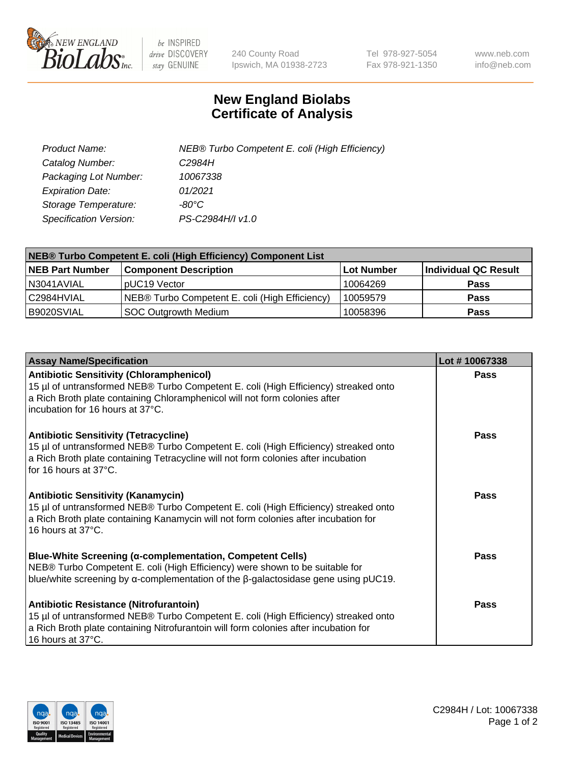

 $be$  INSPIRED drive DISCOVERY stay GENUINE

240 County Road Ipswich, MA 01938-2723 Tel 978-927-5054 Fax 978-921-1350 www.neb.com info@neb.com

## **New England Biolabs Certificate of Analysis**

| Product Name:           | NEB® Turbo Competent E. coli (High Efficiency) |
|-------------------------|------------------------------------------------|
| Catalog Number:         | C2984H                                         |
| Packaging Lot Number:   | 10067338                                       |
| <b>Expiration Date:</b> | 01/2021                                        |
| Storage Temperature:    | $-80^{\circ}$ C                                |
| Specification Version:  | PS-C2984H/I v1.0                               |

| <b>NEB® Turbo Competent E. coli (High Efficiency) Component List</b> |                                                |            |                      |  |
|----------------------------------------------------------------------|------------------------------------------------|------------|----------------------|--|
| <b>NEB Part Number</b>                                               | <b>Component Description</b>                   | Lot Number | Individual QC Result |  |
| N3041AVIAL                                                           | pUC19 Vector                                   | 10064269   | <b>Pass</b>          |  |
| C2984HVIAL                                                           | NEB® Turbo Competent E. coli (High Efficiency) | 10059579   | <b>Pass</b>          |  |
| B9020SVIAL                                                           | <b>SOC Outgrowth Medium</b>                    | 10058396   | <b>Pass</b>          |  |

| <b>Assay Name/Specification</b>                                                                                                                                                                                                                          | Lot #10067338 |
|----------------------------------------------------------------------------------------------------------------------------------------------------------------------------------------------------------------------------------------------------------|---------------|
| <b>Antibiotic Sensitivity (Chloramphenicol)</b><br>15 µl of untransformed NEB® Turbo Competent E. coli (High Efficiency) streaked onto<br>a Rich Broth plate containing Chloramphenicol will not form colonies after<br>incubation for 16 hours at 37°C. | Pass          |
| <b>Antibiotic Sensitivity (Tetracycline)</b><br>15 µl of untransformed NEB® Turbo Competent E. coli (High Efficiency) streaked onto<br>a Rich Broth plate containing Tetracycline will not form colonies after incubation<br>for 16 hours at 37°C.       | Pass          |
| <b>Antibiotic Sensitivity (Kanamycin)</b><br>15 µl of untransformed NEB® Turbo Competent E. coli (High Efficiency) streaked onto<br>a Rich Broth plate containing Kanamycin will not form colonies after incubation for<br>16 hours at 37°C.             | Pass          |
| Blue-White Screening (a-complementation, Competent Cells)<br>NEB® Turbo Competent E. coli (High Efficiency) were shown to be suitable for<br>blue/white screening by $\alpha$ -complementation of the $\beta$ -galactosidase gene using pUC19.           | Pass          |
| Antibiotic Resistance (Nitrofurantoin)<br>15 µl of untransformed NEB® Turbo Competent E. coli (High Efficiency) streaked onto<br>a Rich Broth plate containing Nitrofurantoin will form colonies after incubation for<br>16 hours at 37°C.               | Pass          |